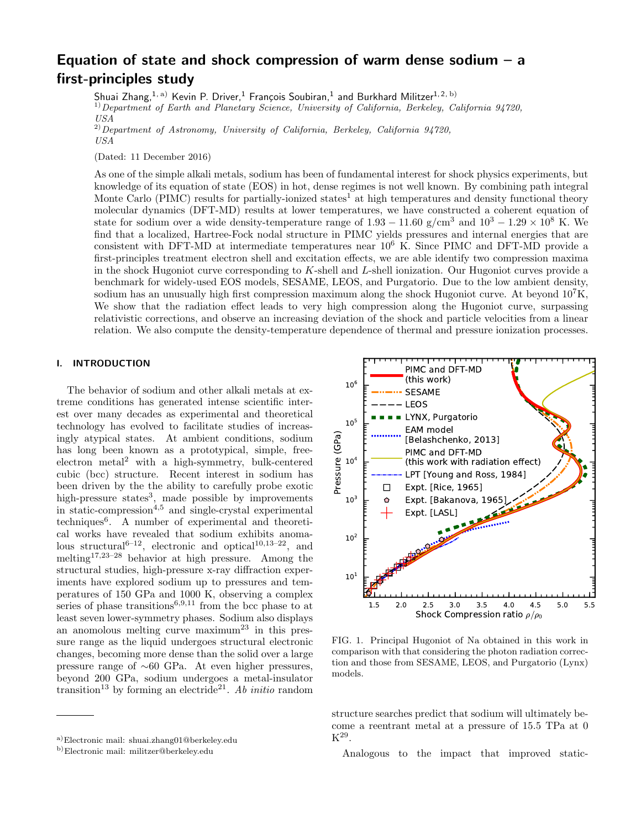# Equation of state and shock compression of warm dense sodium – a first-principles study

Shuai Zhang, $^{1,\,{\rm a)}}$  Kevin P. Driver, $^1$  François Soubiran, $^1$  and Burkhard Militzer $^{1,\,{\rm 2,\, b)}}$ 

<sup>1)</sup> Department of Earth and Planetary Science, University of California, Berkeley, California 94720,

USA

 $^{2)}$ Department of Astronomy, University of California, Berkeley, California 94720, USA

(Dated: 11 December 2016)

As one of the simple alkali metals, sodium has been of fundamental interest for shock physics experiments, but knowledge of its equation of state (EOS) in hot, dense regimes is not well known. By combining path integral Monte Carlo (PIMC) results for partially-ionized states<sup>1</sup> at high temperatures and density functional theory molecular dynamics (DFT-MD) results at lower temperatures, we have constructed a coherent equation of state for sodium over a wide density-temperature range of  $1.93 - 11.60$  g/cm<sup>3</sup> and  $10^3 - 1.29 \times 10^8$  K. We find that a localized, Hartree-Fock nodal structure in PIMC yields pressures and internal energies that are consistent with DFT-MD at intermediate temperatures near 10<sup>6</sup> K. Since PIMC and DFT-MD provide a first-principles treatment electron shell and excitation effects, we are able identify two compression maxima in the shock Hugoniot curve corresponding to K-shell and L-shell ionization. Our Hugoniot curves provide a benchmark for widely-used EOS models, SESAME, LEOS, and Purgatorio. Due to the low ambient density, sodium has an unusually high first compression maximum along the shock Hugoniot curve. At beyond  $10<sup>7</sup>K$ , We show that the radiation effect leads to very high compression along the Hugoniot curve, surpassing relativistic corrections, and observe an increasing deviation of the shock and particle velocities from a linear relation. We also compute the density-temperature dependence of thermal and pressure ionization processes.

## I. INTRODUCTION

The behavior of sodium and other alkali metals at extreme conditions has generated intense scientific interest over many decades as experimental and theoretical technology has evolved to facilitate studies of increasingly atypical states. At ambient conditions, sodium has long been known as a prototypical, simple, freeelectron metal<sup>2</sup> with a high-symmetry, bulk-centered cubic (bcc) structure. Recent interest in sodium has been driven by the the ability to carefully probe exotic high-pressure states<sup>3</sup>, made possible by improvements in static-compression4,5 and single-crystal experimental techniques<sup>6</sup>. A number of experimental and theoretical works have revealed that sodium exhibits anomalous structural<sup>6-12</sup>, electronic and optical<sup>10,13-22</sup>, and melting17,23–28 behavior at high pressure. Among the structural studies, high-pressure x-ray diffraction experiments have explored sodium up to pressures and temperatures of 150 GPa and 1000 K, observing a complex series of phase transitions<sup>6,9,11</sup> from the bcc phase to at least seven lower-symmetry phases. Sodium also displays an anomolous melting curve  $\text{maximum}^{23}$  in this pressure range as the liquid undergoes structural electronic changes, becoming more dense than the solid over a large pressure range of ∼60 GPa. At even higher pressures, beyond 200 GPa, sodium undergoes a metal-insulator transition<sup>13</sup> by forming an electride<sup>21</sup>. Ab initio random



FIG. 1. Principal Hugoniot of Na obtained in this work in comparison with that considering the photon radiation correction and those from SESAME, LEOS, and Purgatorio (Lynx) models.

structure searches predict that sodium will ultimately become a reentrant metal at a pressure of 15.5 TPa at 0  $\mathrm{K}^{29}.$ 

Analogous to the impact that improved static-

a)Electronic mail: shuai.zhang01@berkeley.edu

b)Electronic mail: militzer@berkeley.edu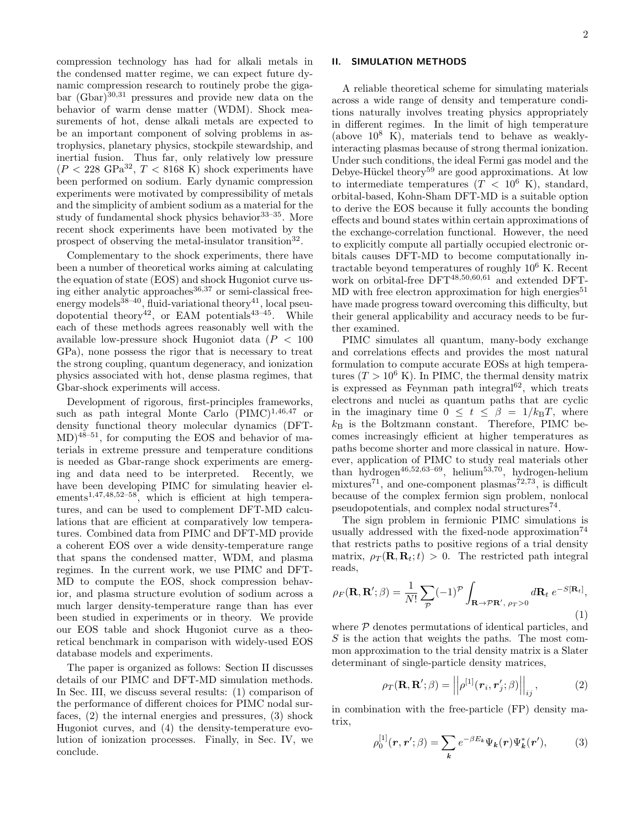II. SIMULATION METHODS

compression technology has had for alkali metals in the condensed matter regime, we can expect future dynamic compression research to routinely probe the gigabar  $(Gbar)^{30,31}$  pressures and provide new data on the behavior of warm dense matter (WDM). Shock measurements of hot, dense alkali metals are expected to be an important component of solving problems in astrophysics, planetary physics, stockpile stewardship, and inertial fusion. Thus far, only relatively low pressure  $(P < 228 \text{ GPa}^{32}, T < 8168 \text{ K})$  shock experiments have been performed on sodium. Early dynamic compression experiments were motivated by compressibility of metals and the simplicity of ambient sodium as a material for the study of fundamental shock physics behavior  $33-35$ . More recent shock experiments have been motivated by the prospect of observing the metal-insulator transition<sup>32</sup>.

Complementary to the shock experiments, there have been a number of theoretical works aiming at calculating the equation of state (EOS) and shock Hugoniot curve using either analytic approaches  $36,37$  or semi-classical freeenergy models $^{38-40}$ , fluid-variational theory<sup>41</sup>, local pseudopotential theory<sup>42</sup>, or EAM potentials<sup>43–45</sup>. While each of these methods agrees reasonably well with the available low-pressure shock Hugoniot data  $(P < 100$ GPa), none possess the rigor that is necessary to treat the strong coupling, quantum degeneracy, and ionization physics associated with hot, dense plasma regimes, that Gbar-shock experiments will access.

Development of rigorous, first-principles frameworks, such as path integral Monte Carlo  $(PIMC)^{1,46,47}$  or density functional theory molecular dynamics (DFT- $MD$ <sup>48–51</sup>, for computing the EOS and behavior of materials in extreme pressure and temperature conditions is needed as Gbar-range shock experiments are emerging and data need to be interpreted. Recently, we have been developing PIMC for simulating heavier elements<sup>1,47,48,52–58</sup>, which is efficient at high temperatures, and can be used to complement DFT-MD calculations that are efficient at comparatively low temperatures. Combined data from PIMC and DFT-MD provide a coherent EOS over a wide density-temperature range that spans the condensed matter, WDM, and plasma regimes. In the current work, we use PIMC and DFT-MD to compute the EOS, shock compression behavior, and plasma structure evolution of sodium across a much larger density-temperature range than has ever been studied in experiments or in theory. We provide our EOS table and shock Hugoniot curve as a theoretical benchmark in comparison with widely-used EOS database models and experiments.

The paper is organized as follows: Section II discusses details of our PIMC and DFT-MD simulation methods. In Sec. III, we discuss several results: (1) comparison of the performance of different choices for PIMC nodal surfaces, (2) the internal energies and pressures, (3) shock Hugoniot curves, and (4) the density-temperature evolution of ionization processes. Finally, in Sec. IV, we conclude.

A reliable theoretical scheme for simulating materials across a wide range of density and temperature conditions naturally involves treating physics appropriately in different regimes. In the limit of high temperature (above  $10^8$  K), materials tend to behave as weaklyinteracting plasmas because of strong thermal ionization. Under such conditions, the ideal Fermi gas model and the Debye-Hückel theory<sup>59</sup> are good approximations. At low to intermediate temperatures  $(T < 10^6 \text{ K})$ , standard, orbital-based, Kohn-Sham DFT-MD is a suitable option to derive the EOS because it fully accounts the bonding effects and bound states within certain approximations of the exchange-correlation functional. However, the need to explicitly compute all partially occupied electronic orbitals causes DFT-MD to become computationally intractable beyond temperatures of roughly 10<sup>6</sup> K. Recent work on orbital-free DFT<sup>48,50,60,61</sup> and extended DFT-MD with free electron approximation for high energies<sup>51</sup> have made progress toward overcoming this difficulty, but their general applicability and accuracy needs to be further examined.

PIMC simulates all quantum, many-body exchange and correlations effects and provides the most natural formulation to compute accurate EOSs at high temperatures  $(T > 10^6 \text{ K})$ . In PIMC, the thermal density matrix is expressed as Feynman path integral $62$ , which treats electrons and nuclei as quantum paths that are cyclic in the imaginary time  $0 \leq t \leq \beta = 1/k_{\rm B}T$ , where  $k_B$  is the Boltzmann constant. Therefore, PIMC becomes increasingly efficient at higher temperatures as paths become shorter and more classical in nature. However, application of PIMC to study real materials other than hydrogen<sup>46,52,63–69</sup>, helium<sup>53,70</sup>, hydrogen-helium mixtures<sup>71</sup>, and one-component plasmas<sup>72,73</sup>, is difficult because of the complex fermion sign problem, nonlocal pseudopotentials, and complex nodal structures<sup>74</sup>.

The sign problem in fermionic PIMC simulations is usually addressed with the fixed-node approximation<sup>74</sup> that restricts paths to positive regions of a trial density matrix,  $\rho_T(\mathbf{R}, \mathbf{R}_t; t) > 0$ . The restricted path integral reads,

$$
\rho_F(\mathbf{R}, \mathbf{R}'; \beta) = \frac{1}{N!} \sum_{\mathcal{P}} (-1)^{\mathcal{P}} \int_{\mathbf{R} \to \mathcal{P} \mathbf{R}', \, \rho_T > 0} d\mathbf{R}_t \, e^{-S[\mathbf{R}_t]},
$$
\n(1)

where  $P$  denotes permutations of identical particles, and S is the action that weights the paths. The most common approximation to the trial density matrix is a Slater determinant of single-particle density matrices,

$$
\rho_T(\mathbf{R}, \mathbf{R}'; \beta) = ||\rho^{[1]}(\mathbf{r}_i, \mathbf{r}'_j; \beta)||_{ij}, \qquad (2)
$$

in combination with the free-particle (FP) density matrix,

$$
\rho_0^{[1]}(\boldsymbol{r}, \boldsymbol{r}'; \beta) = \sum_{\boldsymbol{k}} e^{-\beta E_{\boldsymbol{k}}} \Psi_{\boldsymbol{k}}(\boldsymbol{r}) \Psi_{\boldsymbol{k}}^*(\boldsymbol{r}'), \qquad (3)
$$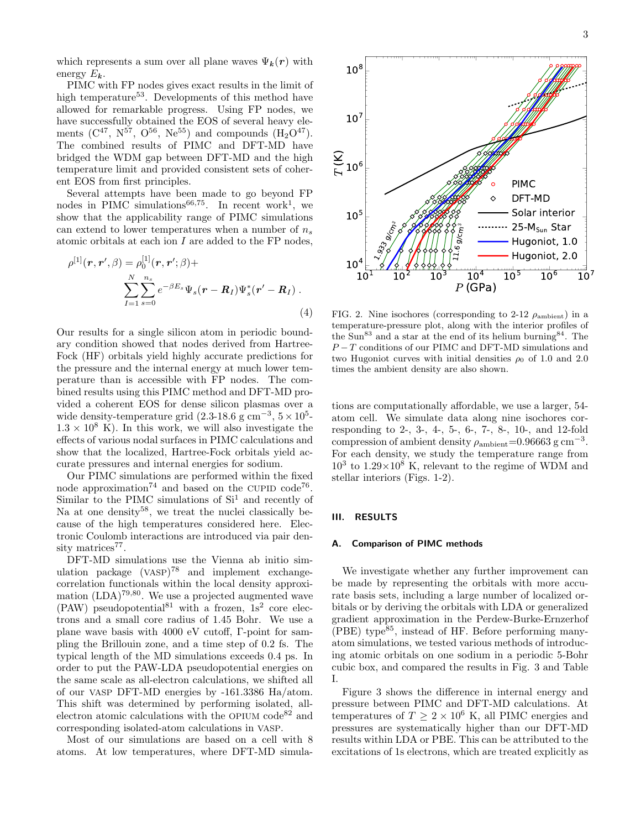which represents a sum over all plane waves  $\Psi_{k}(r)$  with energy  $E_k$ .

PIMC with FP nodes gives exact results in the limit of high temperature<sup>53</sup>. Developments of this method have allowed for remarkable progress. Using FP nodes, we have successfully obtained the EOS of several heavy elements  $(C^{47}, N^{57}, O^{56}, Ne^{55})$  and compounds  $(H_2O^{47})$ . The combined results of PIMC and DFT-MD have bridged the WDM gap between DFT-MD and the high temperature limit and provided consistent sets of coherent EOS from first principles.

Several attempts have been made to go beyond FP nodes in PIMC simulations<sup>66,75</sup>. In recent work<sup>1</sup>, we show that the applicability range of PIMC simulations can extend to lower temperatures when a number of  $n_s$ atomic orbitals at each ion I are added to the FP nodes,

$$
\rho^{[1]}(\mathbf{r}, \mathbf{r}', \beta) = \rho_0^{[1]}(\mathbf{r}, \mathbf{r}'; \beta) + \sum_{I=1}^N \sum_{s=0}^{n_s} e^{-\beta E_s} \Psi_s(\mathbf{r} - \mathbf{R}_I) \Psi_s^*(\mathbf{r}' - \mathbf{R}_I).
$$
\n(4)

Our results for a single silicon atom in periodic boundary condition showed that nodes derived from Hartree-Fock (HF) orbitals yield highly accurate predictions for the pressure and the internal energy at much lower temperature than is accessible with FP nodes. The combined results using this PIMC method and DFT-MD provided a coherent EOS for dense silicon plasmas over a wide density-temperature grid  $(2.3{\text -}18.6 \text{ g cm}^{-3}, 5 \times 10^5{\text -}1)$  $1.3 \times 10^8$  K). In this work, we will also investigate the effects of various nodal surfaces in PIMC calculations and show that the localized, Hartree-Fock orbitals yield accurate pressures and internal energies for sodium.

Our PIMC simulations are performed within the fixed node approximation<sup>74</sup> and based on the CUPID code<sup>76</sup>. Similar to the PIMC simulations of  $Si<sup>1</sup>$  and recently of Na at one density<sup>58</sup>, we treat the nuclei classically because of the high temperatures considered here. Electronic Coulomb interactions are introduced via pair density matrices<sup>77</sup>.

DFT-MD simulations use the Vienna ab initio simulation package (VASP) <sup>78</sup> and implement exchangecorrelation functionals within the local density approximation  $(LDA)^{79,80}$ . We use a projected augmented wave  $(PAW)$  pseudopotential<sup>81</sup> with a frozen,  $1s<sup>2</sup>$  core electrons and a small core radius of 1.45 Bohr. We use a plane wave basis with 4000 eV cutoff, Γ-point for sampling the Brillouin zone, and a time step of 0.2 fs. The typical length of the MD simulations exceeds 0.4 ps. In order to put the PAW-LDA pseudopotential energies on the same scale as all-electron calculations, we shifted all of our VASP DFT-MD energies by -161.3386 Ha/atom. This shift was determined by performing isolated, allelectron atomic calculations with the OPIUM  $\text{code}^{82}$  and corresponding isolated-atom calculations in VASP.  $\sum_{I=1}^{N} \sum_{s=0}^{n_{\epsilon}} e^{-\beta E_{s}} \Psi_{s}(r-R_{I}) \Psi_{s}^{*}(r'-R_{I})$ . (4) FIG. 2. Nin (4) FIG. 2. Nin (4) FIG. 2. Nin (4) FIG. 2. Nin (4) FIG. 2. Nin (4) FIG. 2. Nin (4) FIG. 2. Nin (4) FIG. 2. Nin (4) FIG. 2. Nin (4) FIG. 2. Nin (4

Most of our simulations are based on a cell with 8

 $P$  (GPa) FIG. 2. Nine isochores (corresponding to 2-12  $\rho_{\text{ambient}}$ ) in a temperature-pressure plot, along with the interior profiles of the Sun<sup>83</sup> and a star at the end of its helium burning<sup>84</sup>. The  $P-T$  conditions of our PIMC and DFT-MD simulations and two Hugoniot curves with initial densities  $\rho_0$  of 1.0 and 2.0 times the ambient density are also shown.

tions are computationally affordable, we use a larger, 54 atom cell. We simulate data along nine isochores corresponding to 2-, 3-, 4-, 5-, 6-, 7-, 8-, 10-, and 12-fold compression of ambient density  $\rho_{\rm ambient}=0.96663 \text{ g cm}^{-3}$ . For each density, we study the temperature range from  $10^3$  to  $1.29 \times 10^8$  K, relevant to the regime of WDM and stellar interiors (Figs. 1-2).

# III. RESULTS

#### A. Comparison of PIMC methods

We investigate whether any further improvement can be made by representing the orbitals with more accurate basis sets, including a large number of localized orbitals or by deriving the orbitals with LDA or generalized gradient approximation in the Perdew-Burke-Ernzerhof  $(PBE)$  type<sup>85</sup>, instead of HF. Before performing manyatom simulations, we tested various methods of introducing atomic orbitals on one sodium in a periodic 5-Bohr cubic box, and compared the results in Fig. 3 and Table I.

Figure 3 shows the difference in internal energy and pressure between PIMC and DFT-MD calculations. At temperatures of  $T \ge 2 \times 10^6$  K, all PIMC energies and pressures are systematically higher than our DFT-MD results within LDA or PBE. This can be attributed to the excitations of 1s electrons, which are treated explicitly as

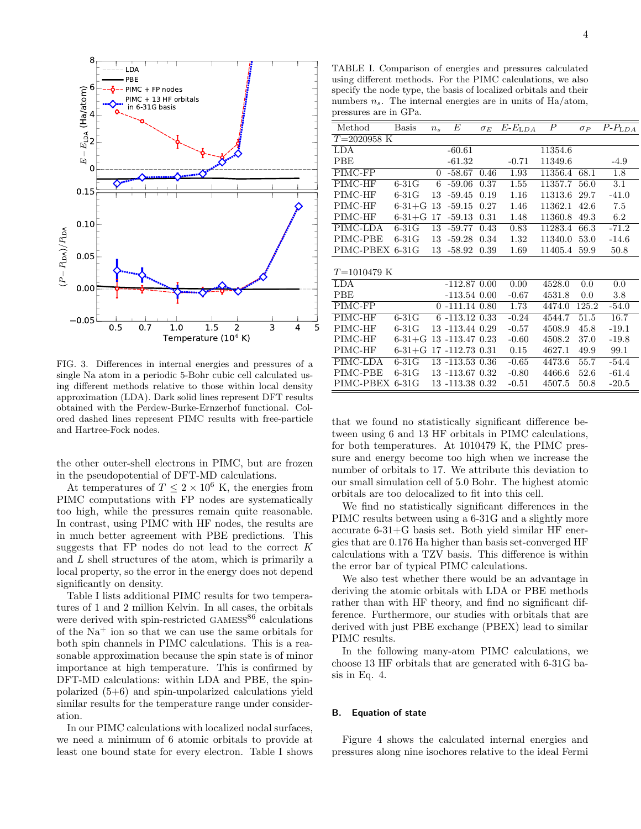

FIG. 3. Differences in internal energies and pressures of a single Na atom in a periodic 5-Bohr cubic cell calculated using different methods relative to those within local density approximation (LDA). Dark solid lines represent DFT results obtained with the Perdew-Burke-Ernzerhof functional. Colored dashed lines represent PIMC results with free-particle and Hartree-Fock nodes.

the other outer-shell electrons in PIMC, but are frozen in the pseudopotential of DFT-MD calculations.

At temperatures of  $T \leq 2 \times 10^6$  K, the energies from PIMC computations with FP nodes are systematically too high, while the pressures remain quite reasonable. In contrast, using PIMC with HF nodes, the results are in much better agreement with PBE predictions. This suggests that  $FP$  nodes do not lead to the correct  $K$ and L shell structures of the atom, which is primarily a local property, so the error in the energy does not depend significantly on density.

Table I lists additional PIMC results for two temperatures of 1 and 2 million Kelvin. In all cases, the orbitals were derived with spin-restricted  $\text{GAMESS}^{86}$  calculations of the  $Na<sup>+</sup>$  ion so that we can use the same orbitals for both spin channels in PIMC calculations. This is a reasonable approximation because the spin state is of minor importance at high temperature. This is confirmed by DFT-MD calculations: within LDA and PBE, the spinpolarized (5+6) and spin-unpolarized calculations yield similar results for the temperature range under consideration.

In our PIMC calculations with localized nodal surfaces, we need a minimum of 6 atomic orbitals to provide at least one bound state for every electron. Table I shows

TABLE I. Comparison of energies and pressures calculated using different methods. For the PIMC calculations, we also specify the node type, the basis of localized orbitals and their numbers  $n_s$ . The internal energies are in units of Ha/atom, pressures are in GPa.

| Method          | <b>Basis</b> | $n_{s}$ | Е                   | $\sigma_E$ | $E$ - $E$ LDA | $\boldsymbol{P}$ | $\sigma_P$ | $\overline{P}$ - $P$ <sub>LDA</sub> |
|-----------------|--------------|---------|---------------------|------------|---------------|------------------|------------|-------------------------------------|
| $T=2020958$ K   |              |         |                     |            |               |                  |            |                                     |
| <b>LDA</b>      |              |         | $-60.61$            |            |               | 11354.6          |            |                                     |
| PBE             |              |         | $-61.32$            |            | $-0.71$       | 11349.6          |            | $-4.9$                              |
| PIMC-FP         |              | 0       | $-58.67$            | 0.46       | 1.93          | 11356.4          | 68.1       | 1.8                                 |
| $PIMC-HF$       | $6-31G$      | 6       | $-59.06$            | 0.37       | 1.55          | 11357.7          | 56.0       | 3.1                                 |
| PIMC-HF         | $6-31G$      | 13      | $-59.45$            | 0.19       | 1.16          | 11313.6          | 29.7       | $-41.0$                             |
| PIMC-HF         | $6 - 31 + G$ | 13      | $-59.15$            | 0.27       | 1.46          | 11362.1          | 42.6       | 7.5                                 |
| PIMC-HF         | $6 - 31 + G$ | 17      | $-59.13$            | 0.31       | 1.48          | 11360.8          | 49.3       | 6.2                                 |
| PIMC-LDA        | $6-31G$      | 13      | $-59.77$            | 0.43       | 0.83          | 11283.4          | 66.3       | $-71.2$                             |
| PIMC-PBE        | $6-31G$      | 13      | $-59.28$            | 0.34       | 1.32          | 11340.0          | 53.0       | $-14.6$                             |
| PIMC-PBEX       | $6-31G$      | 13      | $-58.92$            | 0.39       | 1.69          | 11405.4          | 59.9       | 50.8                                |
|                 |              |         |                     |            |               |                  |            |                                     |
| $T = 1010479$ K |              |         |                     |            |               |                  |            |                                     |
| <b>LDA</b>      |              |         | $-112.87$ 0.00      |            | 0.00          | 4528.0           | 0.0        | 0.0                                 |
| PBE             |              |         | $-113.54$ 0.00      |            | $-0.67$       | 4531.8           | 0.0        | 3.8                                 |
| PIMC-FP         |              |         | $0 - 111.14 0.80$   |            | 1.73          | 4474.0           | 125.2      | $-54.0$                             |
| PIMC-HF         | $6-31G$      |         | $6 - 113.12$ $0.33$ |            | $-0.24$       | 4544.7           | 51.5       | 16.7                                |
| PIMC-HF         | $6-31G$      |         | 13 -113.44 0.29     |            | $-0.57$       | 4508.9           | 45.8       | $-19.1$                             |
| PIMC-HF         | $6 - 31 + G$ |         | 13 -113.47 0.23     |            | $-0.60$       | 4508.2           | 37.0       | $-19.8$                             |
| PIMC-HF         | $6 - 31 + G$ |         | 17-112.73 0.31      |            | 0.15          | 4627.1           | 49.9       | 99.1                                |
| PIMC-LDA        | $6-31G$      |         | 13 -113.53 0.36     |            | $-0.65$       | 4473.6           | 55.7       | $-54.4$                             |
| PIMC-PBE        | $6-31G$      |         | 13 -113.67 0.32     |            | $-0.80$       | 4466.6           | 52.6       | $-61.4$                             |
| PIMC-PBEX       | $6-31G$      |         | 13 -113.38 0.32     |            | $-0.51$       | 4507.5           | 50.8       | $-20.5$                             |
|                 |              |         |                     |            |               |                  |            |                                     |

that we found no statistically significant difference between using 6 and 13 HF orbitals in PIMC calculations, for both temperatures. At 1010479 K, the PIMC pressure and energy become too high when we increase the number of orbitals to 17. We attribute this deviation to our small simulation cell of 5.0 Bohr. The highest atomic orbitals are too delocalized to fit into this cell.

We find no statistically significant differences in the PIMC results between using a 6-31G and a slightly more accurate 6-31+G basis set. Both yield similar HF energies that are 0.176 Ha higher than basis set-converged HF calculations with a TZV basis. This difference is within the error bar of typical PIMC calculations.

We also test whether there would be an advantage in deriving the atomic orbitals with LDA or PBE methods rather than with HF theory, and find no significant difference. Furthermore, our studies with orbitals that are derived with just PBE exchange (PBEX) lead to similar PIMC results.

In the following many-atom PIMC calculations, we choose 13 HF orbitals that are generated with 6-31G basis in Eq. 4.

## B. Equation of state

Figure 4 shows the calculated internal energies and pressures along nine isochores relative to the ideal Fermi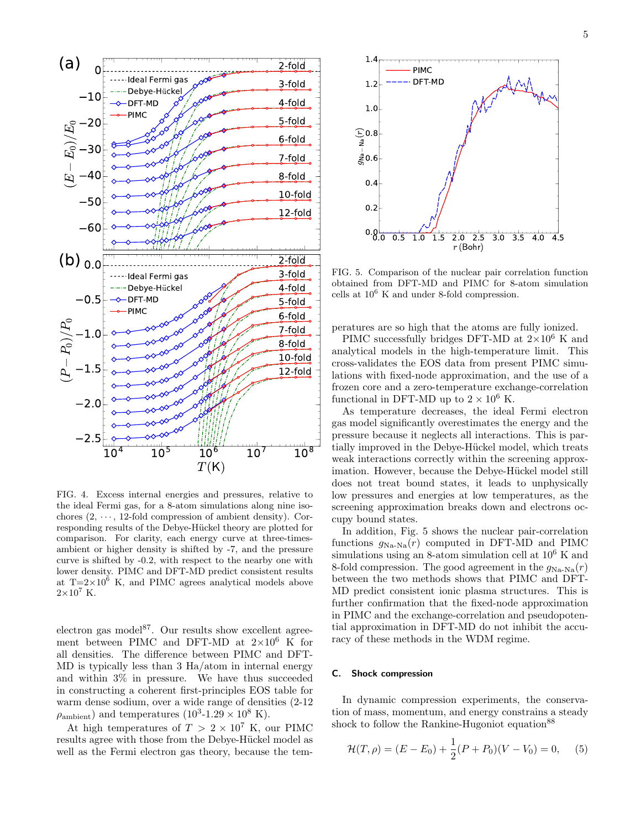

FIG. 4. Excess internal energies and pressures, relative to the ideal Fermi gas, for a 8-atom simulations along nine isochores  $(2, \dots, 12)$ -fold compression of ambient density). Corresponding results of the Debye-Hückel theory are plotted for comparison. For clarity, each energy curve at three-timesambient or higher density is shifted by -7, and the pressure curve is shifted by -0.2, with respect to the nearby one with lower density. PIMC and DFT-MD predict consistent results at  $T=2\times10^6$  K, and PIMC agrees analytical models above  $2\times10^7$  K.

electron gas model<sup>87</sup>. Our results show excellent agreement between PIMC and DFT-MD at  $2\times10^6$  K for all densities. The difference between PIMC and DFT-MD is typically less than 3 Ha/atom in internal energy and within 3% in pressure. We have thus succeeded in constructing a coherent first-principles EOS table for warm dense sodium, over a wide range of densities (2-12  $\rho_{\text{ambient}}$ ) and temperatures  $(10^3 \text{-} 1.29 \times 10^8 \text{ K})$ .

At high temperatures of  $T > 2 \times 10^7$  K, our PIMC results agree with those from the Debye-Hückel model as



FIG. 5. Comparison of the nuclear pair correlation function obtained from DFT-MD and PIMC for 8-atom simulation cells at  $10^6$  K and under 8-fold compression.

peratures are so high that the atoms are fully ionized.

PIMC successfully bridges DFT-MD at  $2\times10^6$  K and analytical models in the high-temperature limit. This cross-validates the EOS data from present PIMC simulations with fixed-node approximation, and the use of a frozen core and a zero-temperature exchange-correlation functional in DFT-MD up to  $2 \times 10^6$  K.

As temperature decreases, the ideal Fermi electron gas model significantly overestimates the energy and the pressure because it neglects all interactions. This is partially improved in the Debye-Hückel model, which treats weak interactions correctly within the screening approximation. However, because the Debye-Hückel model still does not treat bound states, it leads to unphysically low pressures and energies at low temperatures, as the screening approximation breaks down and electrons occupy bound states.

In addition, Fig. 5 shows the nuclear pair-correlation functions  $g_{\text{Na-Na}}(r)$  computed in DFT-MD and PIMC simulations using an 8-atom simulation cell at  $10^6$  K and 8-fold compression. The good agreement in the  $g_{\text{Na-Na}}(r)$ between the two methods shows that PIMC and DFT-MD predict consistent ionic plasma structures. This is further confirmation that the fixed-node approximation in PIMC and the exchange-correlation and pseudopotential approximation in DFT-MD do not inhibit the accuracy of these methods in the WDM regime.

### C. Shock compression

In dynamic compression experiments, the conservation of mass, momentum, and energy constrains a steady shock to follow the Rankine-Hugoniot equation<sup>88</sup>

$$
\mathcal{H}(T,\rho) = (E - E_0) + \frac{1}{2}(P + P_0)(V - V_0) = 0,\tag{5}
$$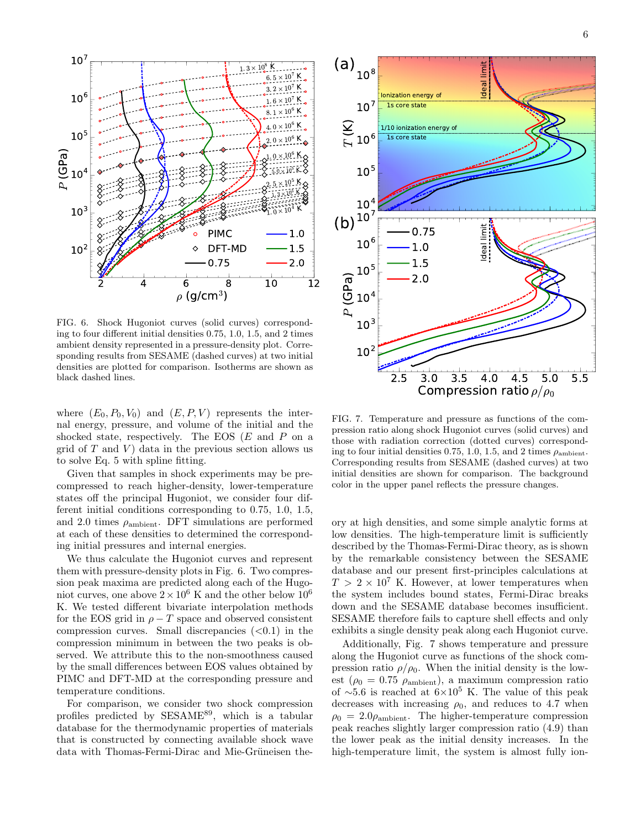

FIG. 6. Shock Hugoniot curves (solid curves) corresponding to four different initial densities 0.75, 1.0, 1.5, and 2 times ambient density represented in a pressure-density plot. Corresponding results from SESAME (dashed curves) at two initial densities are plotted for comparison. Isotherms are shown as black dashed lines.

where  $(E_0, P_0, V_0)$  and  $(E, P, V)$  represents the internal energy, pressure, and volume of the initial and the shocked state, respectively. The EOS  $(E \text{ and } P \text{ on a})$ grid of  $T$  and  $V$ ) data in the previous section allows us to solve Eq. 5 with spline fitting.

Given that samples in shock experiments may be precompressed to reach higher-density, lower-temperature states off the principal Hugoniot, we consider four different initial conditions corresponding to 0.75, 1.0, 1.5, and 2.0 times  $\rho_{\text{ambient}}$ . DFT simulations are performed at each of these densities to determined the corresponding initial pressures and internal energies.

We thus calculate the Hugoniot curves and represent them with pressure-density plots in Fig. 6. Two compression peak maxima are predicted along each of the Hugoniot curves, one above  $2 \times 10^6$  K and the other below  $10^6$ K. We tested different bivariate interpolation methods for the EOS grid in  $\rho - T$  space and observed consistent compression curves. Small discrepancies  $( $0.1$ )$  in the compression minimum in between the two peaks is observed. We attribute this to the non-smoothness caused by the small differences between EOS values obtained by PIMC and DFT-MD at the corresponding pressure and temperature conditions.

For comparison, we consider two shock compression profiles predicted by SESAME<sup>89</sup>, which is a tabular database for the thermodynamic properties of materials that is constructed by connecting available shock wave data with Thomas-Fermi-Dirac and Mie-Grüneisen the-



FIG. 7. Temperature and pressure as functions of the compression ratio along shock Hugoniot curves (solid curves) and those with radiation correction (dotted curves) corresponding to four initial densities 0.75, 1.0, 1.5, and 2 times  $\rho_{\rm ambient}$ . Corresponding results from SESAME (dashed curves) at two initial densities are shown for comparison. The background color in the upper panel reflects the pressure changes.

ory at high densities, and some simple analytic forms at low densities. The high-temperature limit is sufficiently described by the Thomas-Fermi-Dirac theory, as is shown by the remarkable consistency between the SESAME database and our present first-principles calculations at  $T > 2 \times 10^7$  K. However, at lower temperatures when the system includes bound states, Fermi-Dirac breaks down and the SESAME database becomes insufficient. SESAME therefore fails to capture shell effects and only exhibits a single density peak along each Hugoniot curve.

Additionally, Fig. 7 shows temperature and pressure along the Hugoniot curve as functions of the shock compression ratio  $\rho/\rho_0$ . When the initial density is the lowest ( $\rho_0 = 0.75 \rho_{\text{ambient}}$ ), a maximum compression ratio of ∼5.6 is reached at  $6\times10^5$  K. The value of this peak decreases with increasing  $\rho_0$ , and reduces to 4.7 when  $\rho_0 = 2.0\rho_{\text{ambient}}$ . The higher-temperature compression peak reaches slightly larger compression ratio (4.9) than the lower peak as the initial density increases. In the high-temperature limit, the system is almost fully ion-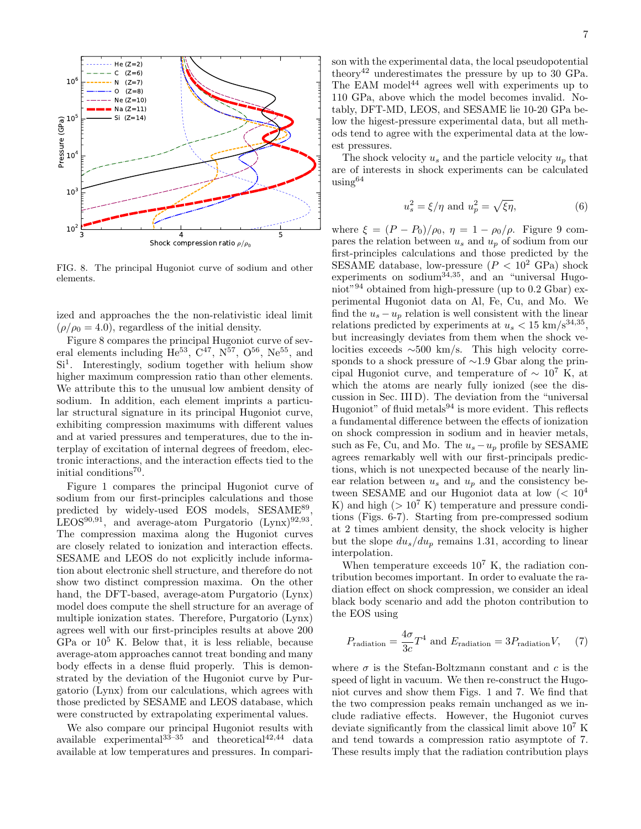

FIG. 8. The principal Hugoniot curve of sodium and other elements.

ized and approaches the the non-relativistic ideal limit  $(\rho/\rho_0 = 4.0)$ , regardless of the initial density.

Figure 8 compares the principal Hugoniot curve of several elements including  $\text{He}^{53}$ ,  $\text{C}^{47}$ ,  $\text{N}^{57}$ ,  $\text{O}^{56}$ ,  $\text{Ne}^{55}$ , and Si<sup>1</sup>. Interestingly, sodium together with helium show higher maximum compression ratio than other elements. We attribute this to the unusual low ambient density of sodium. In addition, each element imprints a particular structural signature in its principal Hugoniot curve, exhibiting compression maximums with different values and at varied pressures and temperatures, due to the interplay of excitation of internal degrees of freedom, electronic interactions, and the interaction effects tied to the initial conditions<sup>70</sup>.

Figure 1 compares the principal Hugoniot curve of sodium from our first-principles calculations and those predicted by widely-used EOS models, SESAME<sup>89</sup>, LEOS<sup>90,91</sup>, and average-atom Purgatorio  $(Lynx)^{92,93}$ . The compression maxima along the Hugoniot curves are closely related to ionization and interaction effects. SESAME and LEOS do not explicitly include information about electronic shell structure, and therefore do not show two distinct compression maxima. On the other hand, the DFT-based, average-atom Purgatorio (Lynx) model does compute the shell structure for an average of multiple ionization states. Therefore, Purgatorio (Lynx) agrees well with our first-principles results at above 200 GPa or  $10^5$  K. Below that, it is less reliable, because average-atom approaches cannot treat bonding and many body effects in a dense fluid properly. This is demonstrated by the deviation of the Hugoniot curve by Purgatorio (Lynx) from our calculations, which agrees with those predicted by SESAME and LEOS database, which were constructed by extrapolating experimental values.

We also compare our principal Hugoniot results with available experimental $33-35$  and theoretical $42,44$  data available at low temperatures and pressures. In compari-

son with the experimental data, the local pseudopotential theory<sup>42</sup> underestimates the pressure by up to 30 GPa. The EAM model<sup>44</sup> agrees well with experiments up to 110 GPa, above which the model becomes invalid. Notably, DFT-MD, LEOS, and SESAME lie 10-20 GPa below the higest-pressure experimental data, but all methods tend to agree with the experimental data at the lowest pressures.

The shock velocity  $u_s$  and the particle velocity  $u_p$  that are of interests in shock experiments can be calculated using<sup>64</sup>

$$
u_s^2 = \xi/\eta \text{ and } u_p^2 = \sqrt{\xi\eta},\tag{6}
$$

where  $\xi = (P - P_0)/\rho_0$ ,  $\eta = 1 - \rho_0/\rho$ . Figure 9 compares the relation between  $u_s$  and  $u_p$  of sodium from our first-principles calculations and those predicted by the SESAME database, low-pressure  $(P < 10^2 \text{ GPa})$  shock experiments on sodium $^{34,35}$ , and an "universal Hugoniot"<sup>94</sup> obtained from high-pressure (up to 0.2 Gbar) experimental Hugoniot data on Al, Fe, Cu, and Mo. We find the  $u_s - u_p$  relation is well consistent with the linear relations predicted by experiments at  $u_s < 15 \text{ km/s}^{34,35}$ , but increasingly deviates from them when the shock velocities exceeds ∼500 km/s. This high velocity corresponds to a shock pressure of ∼1.9 Gbar along the principal Hugoniot curve, and temperature of  $\sim 10^7$  K, at which the atoms are nearly fully ionized (see the discussion in Sec. III D). The deviation from the "universal Hugoniot" of fluid metals $94$  is more evident. This reflects a fundamental difference between the effects of ionization on shock compression in sodium and in heavier metals, such as Fe, Cu, and Mo. The  $u_s - u_p$  profile by SESAME agrees remarkably well with our first-principals predictions, which is not unexpected because of the nearly linear relation between  $u_s$  and  $u_p$  and the consistency between SESAME and our Hugoniot data at low  $(< 10<sup>4</sup>$ K) and high ( $> 10^7$  K) temperature and pressure conditions (Figs. 6-7). Starting from pre-compressed sodium at 2 times ambient density, the shock velocity is higher but the slope  $du_s/du_p$  remains 1.31, according to linear interpolation.

When temperature exceeds  $10^7$  K, the radiation contribution becomes important. In order to evaluate the radiation effect on shock compression, we consider an ideal black body scenario and add the photon contribution to the EOS using

$$
P_{\text{radiation}} = \frac{4\sigma}{3c} T^4 \text{ and } E_{\text{radiation}} = 3P_{\text{radiation}} V, \quad (7)
$$

where  $\sigma$  is the Stefan-Boltzmann constant and c is the speed of light in vacuum. We then re-construct the Hugoniot curves and show them Figs. 1 and 7. We find that the two compression peaks remain unchanged as we include radiative effects. However, the Hugoniot curves deviate significantly from the classical limit above  $10^7$  K and tend towards a compression ratio asymptote of 7. These results imply that the radiation contribution plays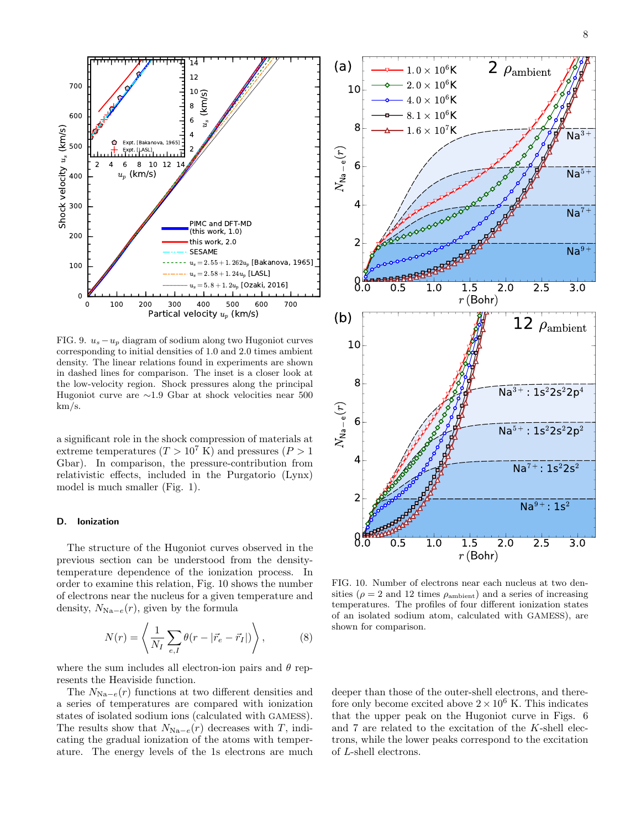

FIG. 9.  $u_s - u_p$  diagram of sodium along two Hugoniot curves corresponding to initial densities of 1.0 and 2.0 times ambient density. The linear relations found in experiments are shown in dashed lines for comparison. The inset is a closer look at the low-velocity region. Shock pressures along the principal Hugoniot curve are ∼1.9 Gbar at shock velocities near 500 km/s.

a significant role in the shock compression of materials at extreme temperatures  $(T > 10^7 \text{ K})$  and pressures  $(P > 1$ Gbar). In comparison, the pressure-contribution from relativistic effects, included in the Purgatorio (Lynx) model is much smaller (Fig. 1).

#### D. Ionization

The structure of the Hugoniot curves observed in the previous section can be understood from the densitytemperature dependence of the ionization process. In order to examine this relation, Fig. 10 shows the number of electrons near the nucleus for a given temperature and density,  $N_{\text{Na}-e}(r)$ , given by the formula

$$
N(r) = \left\langle \frac{1}{N_I} \sum_{e,I} \theta(r - |\vec{r}_e - \vec{r}_I|) \right\rangle, \tag{8}
$$

where the sum includes all electron-ion pairs and  $\theta$  represents the Heaviside function.

The  $N_{\text{Na}-e}(r)$  functions at two different densities and a series of temperatures are compared with ionization states of isolated sodium ions (calculated with GAMESS). The results show that  $N_{\text{Na}-e}(r)$  decreases with T, indicating the gradual ionization of the atoms with temper-



FIG. 10. Number of electrons near each nucleus at two densities ( $\rho = 2$  and 12 times  $\rho_{\text{ambient}}$ ) and a series of increasing temperatures. The profiles of four different ionization states of an isolated sodium atom, calculated with GAMESS), are shown for comparison.

deeper than those of the outer-shell electrons, and therefore only become excited above  $2 \times 10^6$  K. This indicates that the upper peak on the Hugoniot curve in Figs. 6 and 7 are related to the excitation of the K-shell electrons, while the lower peaks correspond to the excitation of L-shell electrons.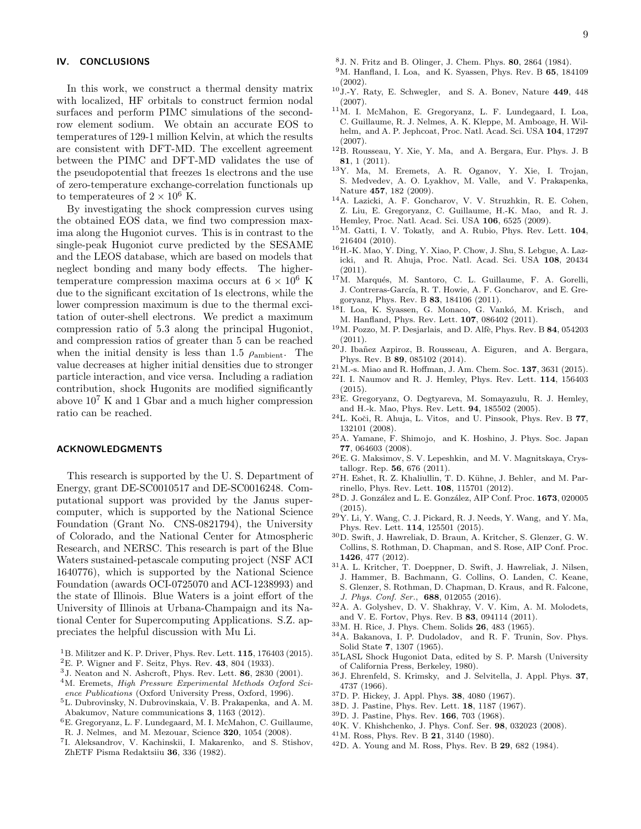## IV. CONCLUSIONS

In this work, we construct a thermal density matrix with localized, HF orbitals to construct fermion nodal surfaces and perform PIMC simulations of the secondrow element sodium. We obtain an accurate EOS to temperatures of 129-1 million Kelvin, at which the results are consistent with DFT-MD. The excellent agreement between the PIMC and DFT-MD validates the use of the pseudopotential that freezes 1s electrons and the use of zero-temperature exchange-correlation functionals up to temperateures of  $2 \times 10^6$  K.

By investigating the shock compression curves using the obtained EOS data, we find two compression maxima along the Hugoniot curves. This is in contrast to the single-peak Hugoniot curve predicted by the SESAME and the LEOS database, which are based on models that neglect bonding and many body effects. The highertemperature compression maxima occurs at  $6 \times 10^6$  K due to the significant excitation of 1s electrons, while the lower compression maximum is due to the thermal excitation of outer-shell electrons. We predict a maximum compression ratio of 5.3 along the principal Hugoniot, and compression ratios of greater than 5 can be reached when the initial density is less than 1.5  $\rho_{\text{ambient}}$ . The value decreases at higher initial densities due to stronger particle interaction, and vice versa. Including a radiation contribution, shock Hugonits are modified significantly above  $10^7$  K and 1 Gbar and a much higher compression ratio can be reached.

#### ACKNOWLEDGMENTS

This research is supported by the U. S. Department of Energy, grant DE-SC0010517 and DE-SC0016248. Computational support was provided by the Janus supercomputer, which is supported by the National Science Foundation (Grant No. CNS-0821794), the University of Colorado, and the National Center for Atmospheric Research, and NERSC. This research is part of the Blue Waters sustained-petascale computing project (NSF ACI 1640776), which is supported by the National Science Foundation (awards OCI-0725070 and ACI-1238993) and the state of Illinois. Blue Waters is a joint effort of the University of Illinois at Urbana-Champaign and its National Center for Supercomputing Applications. S.Z. appreciates the helpful discussion with Mu Li.

- $1B$ . Militzer and K. P. Driver, Phys. Rev. Lett. 115, 176403 (2015).
- ${}^{2}E$ . P. Wigner and F. Seitz, Phys. Rev. 43, 804 (1933).
- $3J.$  Neaton and N. Ashcroft, Phys. Rev. Lett.  $86, 2830$  (2001).
- <sup>4</sup>M. Eremets, High Pressure Experimental Methods Oxford Science Publications (Oxford University Press, Oxford, 1996).
- <sup>5</sup>L. Dubrovinsky, N. Dubrovinskaia, V. B. Prakapenka, and A. M. Abakumov, Nature communications 3, 1163 (2012).
- $^6\mathbf{E}.$  Gregoryanz, L. F. Lundegaard, M. I. McMahon, C. Guillaume, R. J. Nelmes, and M. Mezouar, Science 320, 1054 (2008).
- 
- 7 I. Aleksandrov, V. Kachinskii, I. Makarenko, and S. Stishov, ZhETF Pisma Redaktsiiu 36, 336 (1982).
- <sup>8</sup>J. N. Fritz and B. Olinger, J. Chem. Phys. 80, 2864 (1984).
- $9M.$  Hanfland, I. Loa, and K. Syassen, Phys. Rev. B 65, 184109 (2002).
- <sup>10</sup>J.-Y. Raty, E. Schwegler, and S. A. Bonev, Nature 449, 448 (2007).
- <sup>11</sup>M. I. McMahon, E. Gregoryanz, L. F. Lundegaard, I. Loa, C. Guillaume, R. J. Nelmes, A. K. Kleppe, M. Amboage, H. Wilhelm, and A. P. Jephcoat, Proc. Natl. Acad. Sci. USA 104, 17297 (2007).
- <sup>12</sup>B. Rousseau, Y. Xie, Y. Ma, and A. Bergara, Eur. Phys. J. B 81, 1 (2011).
- <sup>13</sup>Y. Ma, M. Eremets, A. R. Oganov, Y. Xie, I. Trojan, S. Medvedev, A. O. Lyakhov, M. Valle, and V. Prakapenka, Nature 457, 182 (2009).
- <sup>14</sup>A. Lazicki, A. F. Goncharov, V. V. Struzhkin, R. E. Cohen, Z. Liu, E. Gregoryanz, C. Guillaume, H.-K. Mao, and R. J. Hemley, Proc. Natl. Acad. Sci. USA 106, 6525 (2009).
- <sup>15</sup>M. Gatti, I. V. Tokatly, and A. Rubio, Phys. Rev. Lett. **104**, 216404 (2010).
- <sup>16</sup>H.-K. Mao, Y. Ding, Y. Xiao, P. Chow, J. Shu, S. Lebgue, A. Lazicki, and R. Ahuja, Proc. Natl. Acad. Sci. USA 108, 20434 (2011).
- $17M$ . Marqués, M. Santoro, C. L. Guillaume, F. A. Gorelli, J. Contreras-García, R. T. Howie, A. F. Goncharov, and E. Gregoryanz, Phys. Rev. B 83, 184106 (2011).
- 18I. Loa, K. Syassen, G. Monaco, G. Vankó, M. Krisch, and M. Hanfland, Phys. Rev. Lett. 107, 086402 (2011).
- $19M$ . Pozzo, M. P. Desjarlais, and D. Alfè, Phys. Rev. B 84, 054203 (2011).
- $20$ J. Ibañez Azpiroz, B. Rousseau, A. Eiguren, and A. Bergara, Phys. Rev. B 89, 085102 (2014).
- <sup>21</sup>M.-s. Miao and R. Hoffman, J. Am. Chem. Soc. 137, 3631 (2015).
- $^{22}{\rm L}$  I. Naumov and R. J. Hemley, Phys. Rev. Lett.  $\bf 114,\ 156403$ (2015).
- <sup>23</sup>E. Gregoryanz, O. Degtyareva, M. Somayazulu, R. J. Hemley, and H.-k. Mao, Phys. Rev. Lett. 94, 185502 (2005).
- $^{24}\mathrm{L}$ Koči, R. Ahuja, L. Vitos, $% ^{24}\mathrm{L}$ and U. Pinsook, Phys. Rev. B $\bf{77},$ 132101 (2008).
- <sup>25</sup>A. Yamane, F. Shimojo, and K. Hoshino, J. Phys. Soc. Japan 77, 064603 (2008).
- <sup>26</sup>E. G. Maksimov, S. V. Lepeshkin, and M. V. Magnitskaya, Crystallogr. Rep. 56, 676 (2011).
- $^{27}{\rm H.}$  Eshet, R. Z. Khaliullin, T. D. Kühne, J. Behler, and M. Parrinello, Phys. Rev. Lett. 108, 115701 (2012).
- $^{28}{\rm D}$ . J. González and L. E. González, AIP Conf. Proc. 1673, 020005 (2015).
- $^{29}\mathrm{Y}.$  Li, Y. Wang, C. J. Pickard, R. J. Needs, Y. Wang, and Y. Ma, Phys. Rev. Lett. 114, 125501 (2015).
- <sup>30</sup>D. Swift, J. Hawreliak, D. Braun, A. Kritcher, S. Glenzer, G. W. Collins, S. Rothman, D. Chapman, and S. Rose, AIP Conf. Proc. 1426, 477 (2012).
- <sup>31</sup>A. L. Kritcher, T. Doeppner, D. Swift, J. Hawreliak, J. Nilsen, J. Hammer, B. Bachmann, G. Collins, O. Landen, C. Keane, S. Glenzer, S. Rothman, D. Chapman, D. Kraus, and R. Falcone, J. Phys. Conf. Ser., 688, 012055 (2016).
- <sup>32</sup>A. A. Golyshev, D. V. Shakhray, V. V. Kim, A. M. Molodets, and V. E. Fortov, Phys. Rev. B 83, 094114 (2011).
- <sup>33</sup>M. H. Rice, J. Phys. Chem. Solids 26, 483 (1965).
- <sup>34</sup>A. Bakanova, I. P. Dudoladov, and R. F. Trunin, Sov. Phys. Solid State 7, 1307 (1965).
- <sup>35</sup>LASL Shock Hugoniot Data, edited by S. P. Marsh (University of California Press, Berkeley, 1980).
- <sup>36</sup>J. Ehrenfeld, S. Krimsky, and J. Selvitella, J. Appl. Phys. 37, 4737 (1966).
- <sup>37</sup>D. P. Hickey, J. Appl. Phys. 38, 4080 (1967).
- <sup>38</sup>D. J. Pastine, Phys. Rev. Lett. 18, 1187 (1967).
- <sup>39</sup>D. J. Pastine, Phys. Rev. 166, 703 (1968).
- <sup>40</sup>K. V. Khishchenko, J. Phys. Conf. Ser. 98, 032023 (2008).
- <sup>41</sup>M. Ross, Phys. Rev. B 21, 3140 (1980).
- $^{42}$ D. A. Young and M. Ross, Phys. Rev. B 29, 682 (1984).